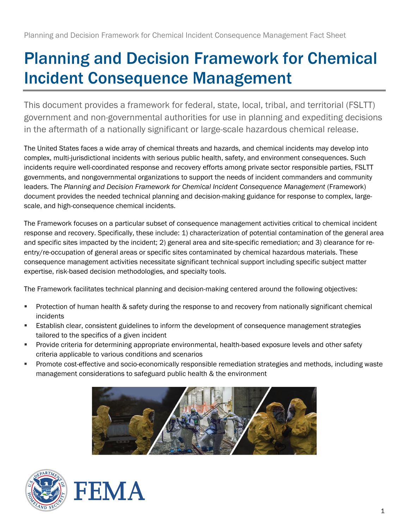# Planning and Decision Framework for Chemical Incident Consequence Management

This document provides a framework for federal, state, local, tribal, and territorial (FSLTT) government and non-governmental authorities for use in planning and expediting decisions in the aftermath of a nationally significant or large-scale hazardous chemical release.

The United States faces a wide array of chemical threats and hazards, and chemical incidents may develop into complex, multi-jurisdictional incidents with serious public health, safety, and environment consequences. Such incidents require well-coordinated response and recovery efforts among private sector responsible parties, FSLTT governments, and nongovernmental organizations to support the needs of incident commanders and community leaders. The *Planning and Decision Framework for Chemical Incident Consequence Management* (Framework) document provides the needed technical planning and decision-making guidance for response to complex, largescale, and high-consequence chemical incidents.

The Framework focuses on a particular subset of consequence management activities critical to chemical incident response and recovery. Specifically, these include: 1) characterization of potential contamination of the general area and specific sites impacted by the incident; 2) general area and site-specific remediation; and 3) clearance for reentry/re-occupation of general areas or specific sites contaminated by chemical hazardous materials. These consequence management activities necessitate significant technical support including specific subject matter expertise, risk-based decision methodologies, and specialty tools.

The Framework facilitates technical planning and decision-making centered around the following objectives:

- **Protection of human health & safety during the response to and recovery from nationally significant chemical** incidents
- Establish clear, consistent guidelines to inform the development of consequence management strategies tailored to the specifics of a given incident
- Provide criteria for determining appropriate environmental, health-based exposure levels and other safety criteria applicable to various conditions and scenarios
- **Promote cost-effective and socio-economically responsible remediation strategies and methods, including waste** management considerations to safeguard public health & the environment